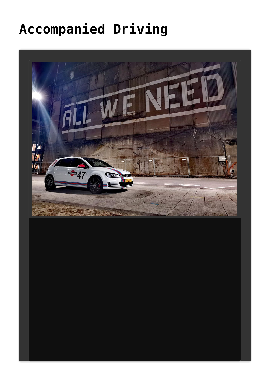# **[Accompanied Driving](https://autoecolepepe.lu/?page_id=68&lang=en)**

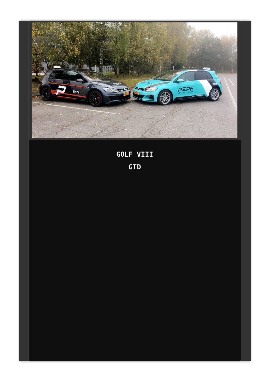

**GOLF VIII GTD**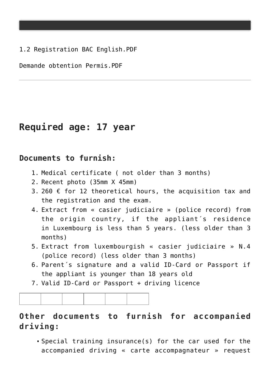[1.2 Registration BAC English](https://autoecolepepe.lu/wp-content/uploads/2021/03/1.2-Registration-BAC-English.pdf).PDF

[Demande obtention Permis.](http://autoecolepepe.lu/wp-content/uploads/2018/06/Demande_obtention_F_PDC_04.1.2018.pdf)PDF

## **Required age: 17 year**

#### **Documents to furnish:**

- 1. Medical certificate ( not older than 3 months)
- 2. Recent photo (35mm X 45mm)
- 3. 260  $\epsilon$  for 12 theoretical hours, the acquisition tax and the registration and the exam.
- 4. Extract from « casier judiciaire » (police record) from the origin country, if the appliant´s residence in Luxembourg is less than 5 years. (less older than 3 months)
- 5. Extract from luxembourgish « casier judiciaire » N.4 (police record) (less older than 3 months)
- 6. Parent´s signature and a valid ID-Card or Passport if the appliant is younger than 18 years old
- 7. Valid ID-Card or Passport + driving licence

### **Other documents to furnish for accompanied driving:**

Special training insurance(s) for the car used for the accompanied driving « carte accompagnateur » request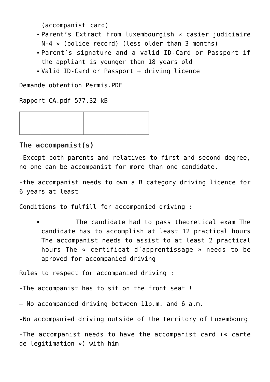(accompanist card)

- Parent's Extract from luxembourgish « casier judiciaire N-4 » (police record) (less older than 3 months)
- Parent´s signature and a valid ID-Card or Passport if the appliant is younger than 18 years old
- Valid ID-Card or Passport + driving licence

[Demande obtention Permis.](http://autoecolepepe.lu/wp-content/uploads/2018/06/Demande_obtention_F_PDC_04.1.2018.pdf)PDF

[Rapport CA.](http://autoecolepepe.lu/wp-content/uploads/2015/01/Rapport-CA.pdf)pdf 577.32 kB

#### **The accompanist(s)**

-Except both parents and relatives to first and second degree, no one can be accompanist for more than one candidate.

-the accompanist needs to own a B category driving licence for 6 years at least

Conditions to fulfill for accompanied driving :

 The candidate had to pass theoretical exam The candidate has to accomplish at least 12 practical hours The accompanist needs to assist to at least 2 practical hours The « certificat d´apprentissage » needs to be aproved for accompanied driving

Rules to respect for accompanied driving :

-The accompanist has to sit on the front seat !

– No accompanied driving between 11p.m. and 6 a.m.

-No accompanied driving outside of the territory of Luxembourg

-The accompanist needs to have the accompanist card (« carte de legitimation ») with him